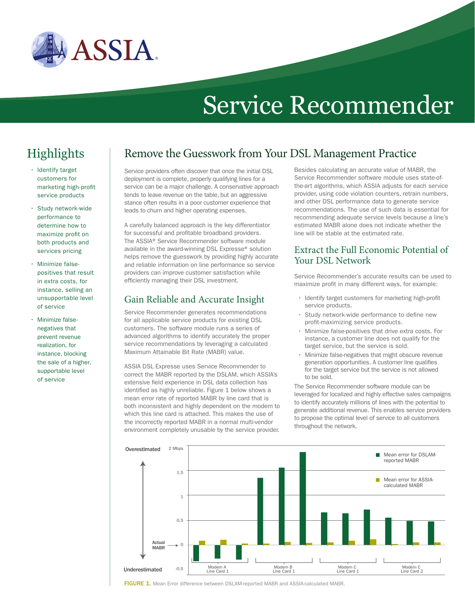

# Service Recommender

## **Highlights**

- Identify target customers for marketing high-profit service products
- • Study network-wide performance to determine how to maximize profit on both products and services pricing
- Minimize falsepositives that result in extra costs, for instance, selling an unsupportable level of service
- Minimize falsenegatives that prevent revenue realization, for instance, blocking the sale of a higher, supportable level of service

## Service providers often discover that once the initial DSL Remove the Guesswork from Your DSL Management Practice

deployment is complete, properly qualifying lines for a service can be a major challenge. A conservative approach tends to leave revenue on the table, but an aggressive stance often results in a poor customer experience that leads to churn and higher operating expenses.

A carefully balanced approach is the key differentiator for successful and profitable broadband providers. The ASSIA® Service Recommender software module available in the award-winning DSL Expresse® solution helps remove the guesswork by providing highly accurate and reliable information on line performance so service providers can improve customer satisfaction while efficiently managing their DSL investment.

#### Gain Reliable and Accurate Insight

Service Recommender generates recommendations for all applicable service products for existing DSL customers. The software module runs a series of advanced algorithms to identify accurately the proper service recommendations by leveraging a calculated Maximum Attainable Bit Rate (MABR) value.

ASSIA DSL Expresse uses Service Recommender to correct the MABR reported by the DSLAM, which ASSIA's extensive field experience in DSL data collection has identified as highly unreliable. Figure 1 below shows a mean error rate of reported MABR by line card that is both inconsistent and highly dependent on the modem to which this line card is attached. This makes the use of the incorrectly reported MABR in a normal multi-vendor environment completely unusable by the service provider.

Besides calculating an accurate value of MABR, the Service Recommender software module uses state-ofthe-art algorithms, which ASSIA adjusts for each service provider, using code violation counters, retrain numbers, and other DSL performance data to generate service recommendations. The use of such data is essential for recommending adequate service levels because a line's estimated MABR alone does not indicate whether the line will be stable at the estimated rate.

#### Extract the Full Economic Potential of Your DSL Network

Service Recommender's accurate results can be used to maximize profit in many different ways, for example:

- Identify target customers for marketing high-profit service products.
- • Study network-wide performance to define new profit-maximizing service products.
- • Minimize false-positives that drive extra costs. For instance, a customer line does not qualify for the target service, but the service is sold.
- • Minimize false-negatives that might obscure revenue generation opportunities. A customer line qualifies for the target service but the service is not allowed to be sold.

The Service Recommender software module can be leveraged for localized and highly effective sales campaigns to identify accurately millions of lines with the potential to generate additional revenue. This enables service providers to propose the optimal level of service to all customers throughout the network.



FIGURE 1. Mean Error difference between DSLAM-reported MABR and ASSIA-calculated MABR.